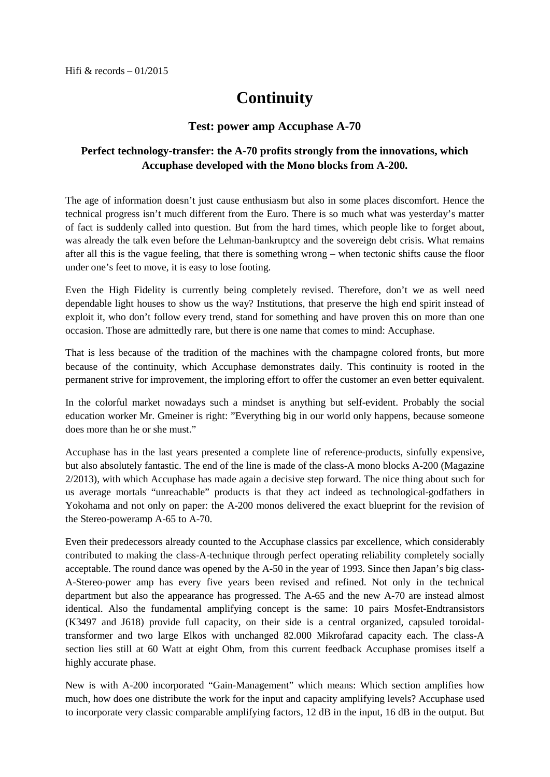## **Continuity**

## **Test: power amp Accuphase A-70**

## **Perfect technology-transfer: the A-70 profits strongly from the innovations, which Accuphase developed with the Mono blocks from A-200.**

The age of information doesn't just cause enthusiasm but also in some places discomfort. Hence the technical progress isn't much different from the Euro. There is so much what was yesterday's matter of fact is suddenly called into question. But from the hard times, which people like to forget about, was already the talk even before the Lehman-bankruptcy and the sovereign debt crisis. What remains after all this is the vague feeling, that there is something wrong – when tectonic shifts cause the floor under one's feet to move, it is easy to lose footing.

Even the High Fidelity is currently being completely revised. Therefore, don't we as well need dependable light houses to show us the way? Institutions, that preserve the high end spirit instead of exploit it, who don't follow every trend, stand for something and have proven this on more than one occasion. Those are admittedly rare, but there is one name that comes to mind: Accuphase.

That is less because of the tradition of the machines with the champagne colored fronts, but more because of the continuity, which Accuphase demonstrates daily. This continuity is rooted in the permanent strive for improvement, the imploring effort to offer the customer an even better equivalent.

In the colorful market nowadays such a mindset is anything but self-evident. Probably the social education worker Mr. Gmeiner is right: "Everything big in our world only happens, because someone does more than he or she must."

Accuphase has in the last years presented a complete line of reference-products, sinfully expensive, but also absolutely fantastic. The end of the line is made of the class-A mono blocks A-200 (Magazine 2/2013), with which Accuphase has made again a decisive step forward. The nice thing about such for us average mortals "unreachable" products is that they act indeed as technological-godfathers in Yokohama and not only on paper: the A-200 monos delivered the exact blueprint for the revision of the Stereo-poweramp A-65 to A-70.

Even their predecessors already counted to the Accuphase classics par excellence, which considerably contributed to making the class-A-technique through perfect operating reliability completely socially acceptable. The round dance was opened by the A-50 in the year of 1993. Since then Japan's big class-A-Stereo-power amp has every five years been revised and refined. Not only in the technical department but also the appearance has progressed. The A-65 and the new A-70 are instead almost identical. Also the fundamental amplifying concept is the same: 10 pairs Mosfet-Endtransistors (K3497 and J618) provide full capacity, on their side is a central organized, capsuled toroidaltransformer and two large Elkos with unchanged 82.000 Mikrofarad capacity each. The class-A section lies still at 60 Watt at eight Ohm, from this current feedback Accuphase promises itself a highly accurate phase.

New is with A-200 incorporated "Gain-Management" which means: Which section amplifies how much, how does one distribute the work for the input and capacity amplifying levels? Accuphase used to incorporate very classic comparable amplifying factors, 12 dB in the input, 16 dB in the output. But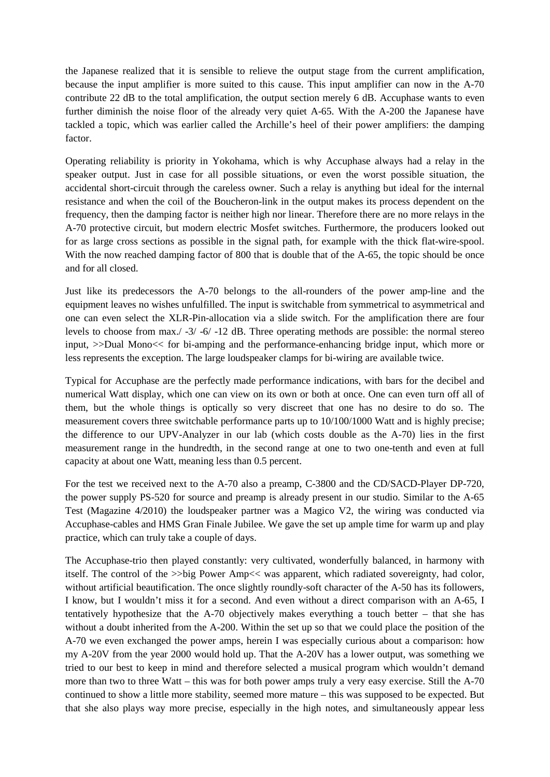the Japanese realized that it is sensible to relieve the output stage from the current amplification, because the input amplifier is more suited to this cause. This input amplifier can now in the A-70 contribute 22 dB to the total amplification, the output section merely 6 dB. Accuphase wants to even further diminish the noise floor of the already very quiet A-65. With the A-200 the Japanese have tackled a topic, which was earlier called the Archille's heel of their power amplifiers: the damping factor.

Operating reliability is priority in Yokohama, which is why Accuphase always had a relay in the speaker output. Just in case for all possible situations, or even the worst possible situation, the accidental short-circuit through the careless owner. Such a relay is anything but ideal for the internal resistance and when the coil of the Boucheron-link in the output makes its process dependent on the frequency, then the damping factor is neither high nor linear. Therefore there are no more relays in the A-70 protective circuit, but modern electric Mosfet switches. Furthermore, the producers looked out for as large cross sections as possible in the signal path, for example with the thick flat-wire-spool. With the now reached damping factor of 800 that is double that of the A-65, the topic should be once and for all closed.

Just like its predecessors the A-70 belongs to the all-rounders of the power amp-line and the equipment leaves no wishes unfulfilled. The input is switchable from symmetrical to asymmetrical and one can even select the XLR-Pin-allocation via a slide switch. For the amplification there are four levels to choose from max./ -3/ -6/ -12 dB. Three operating methods are possible: the normal stereo input, >>Dual Mono<< for bi-amping and the performance-enhancing bridge input, which more or less represents the exception. The large loudspeaker clamps for bi-wiring are available twice.

Typical for Accuphase are the perfectly made performance indications, with bars for the decibel and numerical Watt display, which one can view on its own or both at once. One can even turn off all of them, but the whole things is optically so very discreet that one has no desire to do so. The measurement covers three switchable performance parts up to 10/100/1000 Watt and is highly precise; the difference to our UPV-Analyzer in our lab (which costs double as the A-70) lies in the first measurement range in the hundredth, in the second range at one to two one-tenth and even at full capacity at about one Watt, meaning less than 0.5 percent.

For the test we received next to the A-70 also a preamp, C-3800 and the CD/SACD-Player DP-720, the power supply PS-520 for source and preamp is already present in our studio. Similar to the A-65 Test (Magazine 4/2010) the loudspeaker partner was a Magico V2, the wiring was conducted via Accuphase-cables and HMS Gran Finale Jubilee. We gave the set up ample time for warm up and play practice, which can truly take a couple of days.

The Accuphase-trio then played constantly: very cultivated, wonderfully balanced, in harmony with itself. The control of the >>big Power Amp<< was apparent, which radiated sovereignty, had color, without artificial beautification. The once slightly roundly-soft character of the A-50 has its followers, I know, but I wouldn't miss it for a second. And even without a direct comparison with an A-65, I tentatively hypothesize that the A-70 objectively makes everything a touch better – that she has without a doubt inherited from the A-200. Within the set up so that we could place the position of the A-70 we even exchanged the power amps, herein I was especially curious about a comparison: how my A-20V from the year 2000 would hold up. That the A-20V has a lower output, was something we tried to our best to keep in mind and therefore selected a musical program which wouldn't demand more than two to three Watt – this was for both power amps truly a very easy exercise. Still the A-70 continued to show a little more stability, seemed more mature – this was supposed to be expected. But that she also plays way more precise, especially in the high notes, and simultaneously appear less